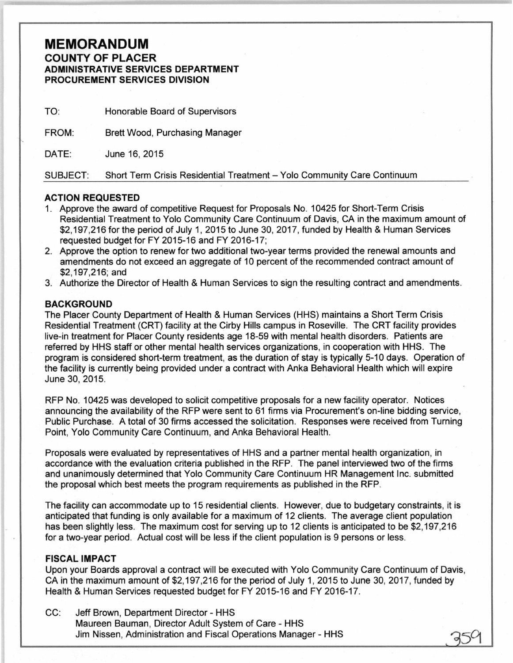## **MEMORANDUM**  COUNTY OF PLACER ADMINISTRATIVE SERVICES DEPARTMENT PROCUREMENT SERVICES DIVISION

| TO:             | Honorable Board of Supervisors                                          |
|-----------------|-------------------------------------------------------------------------|
| FROM:           | <b>Brett Wood, Purchasing Manager</b>                                   |
| DATE:           | June 16, 2015                                                           |
| <b>SUBJECT:</b> | Short Term Crisis Residential Treatment - Yolo Community Care Continuum |

## ACTION REQUESTED

- 1. Approve the award of competitive Request for Proposals No. 10425 for Short-Term Crisis Residential Treatment to Yolo Community Care Continuum of Davis, CA in the maximum amount of \$2,197,216 for the period of July 1, 2015 to June 30,2017, funded by Health & Human Services requested budget for FY 2015-16 and FY 2016-17;
- 2. Approve the option to renew for two additional two-year terms provided the renewal amounts and amendments do not exceed an aggregate of 10 percent of the recommended contract amount of \$2,197,216; and
- 3. Authorize the Director of Health & Human Services to sign the resulting contract and amendments.

## BACKGROUND

The Placer County Department of Health & Human Services (HHS) maintains a Short Term Crisis Residential Treatment (CRT) facility at the Cirby Hills campus in Roseville. The CRT facility provides live-in treatment for Placer County residents age 18-59 with mental health disorders. Patients are referred by HHS staff or other mental health services organizations, in cooperation with HHS. The program is considered short-term treatment, as the duration of stay is typically 5-10 days. Operation of the facility is currently being provided under a contract with Anka Behavioral Health which will expire June 30, 2015.

RFP No. 10425 was developed to solicit competitive proposals for a new facility operator. Notices announcing the availability of the RFP were sent to 61 firms via Procurement's on-line bidding service, Public Purchase. A total of 30 firms accessed the solicitation. Responses were received from Turning Point, Yolo Community Care Continuum, and Anka Behavioral Health.

Proposals were evaluated by representatives of HHS and a partner mental health organization, in accordance with the evaluation criteria published in the RFP. The panel interviewed two of the firms and unanimously determined that Yolo Community Care Continuum HR Management Inc. submitted the proposal which best meets the program requirements as published in the RFP.

The facility can accommodate up to 15 residential clients. However, due to budgetary constraints, it is anticipated that funding is only available for a maximum of 12 clients. The average client population has been slightly less. The maximum cost for serving up to 12 clients is anticipated to be \$2,197,216 for a two-year period. Actual cost will be less if the client population is 9 persons or less.

## FISCAL IMPACT

Upon your Boards approval a contract will be executed with Yolo Community Care Continuum of Davis, CA in the maximum amount of \$2,197,216 for the period of July 1, 2015 to June 30, 2017, funded by Health & Human Services requested budget for FY 2015-16 and FY 2016-17.

CC: Jeff Brown, Department Director- HHS Maureen Bauman, Director Adult System of Care - HHS Jim Nissen, Administration and Fiscal Operations Manager - HHS